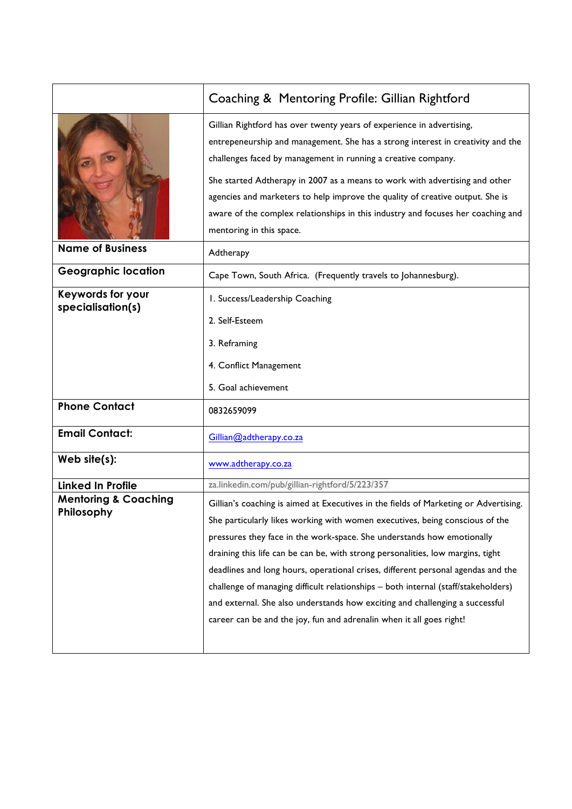|                                               | Coaching & Mentoring Profile: Gillian Rightford                                                                                                                                                                                                                                                                                                                                                                                                                                                                                                                                                                                                                     |
|-----------------------------------------------|---------------------------------------------------------------------------------------------------------------------------------------------------------------------------------------------------------------------------------------------------------------------------------------------------------------------------------------------------------------------------------------------------------------------------------------------------------------------------------------------------------------------------------------------------------------------------------------------------------------------------------------------------------------------|
|                                               | Gillian Rightford has over twenty years of experience in advertising,<br>entrepeneurship and management. She has a strong interest in creativity and the<br>challenges faced by management in running a creative company.<br>She started Adtherapy in 2007 as a means to work with advertising and other<br>agencies and marketers to help improve the quality of creative output. She is<br>aware of the complex relationships in this industry and focuses her coaching and<br>mentoring in this space.                                                                                                                                                           |
| <b>Name of Business</b>                       | Adtherapy                                                                                                                                                                                                                                                                                                                                                                                                                                                                                                                                                                                                                                                           |
| <b>Geographic location</b>                    | Cape Town, South Africa. (Frequently travels to Johannesburg).                                                                                                                                                                                                                                                                                                                                                                                                                                                                                                                                                                                                      |
| <b>Keywords for your</b><br>specialisation(s) | I. Success/Leadership Coaching<br>2. Self-Esteem<br>3. Reframing<br>4. Conflict Management<br>5. Goal achievement                                                                                                                                                                                                                                                                                                                                                                                                                                                                                                                                                   |
| <b>Phone Contact</b>                          | 0832659099                                                                                                                                                                                                                                                                                                                                                                                                                                                                                                                                                                                                                                                          |
| <b>Email Contact:</b>                         | Gillian@adtherapy.co.za                                                                                                                                                                                                                                                                                                                                                                                                                                                                                                                                                                                                                                             |
| Web $site(s)$ :                               | www.adtherapy.co.za                                                                                                                                                                                                                                                                                                                                                                                                                                                                                                                                                                                                                                                 |
| <b>Linked In Profile</b>                      | za.linkedin.com/pub/gillian-rightford/5/223/357                                                                                                                                                                                                                                                                                                                                                                                                                                                                                                                                                                                                                     |
| <b>Mentoring &amp; Coaching</b><br>Philosophy | Gillian's coaching is aimed at Executives in the fields of Marketing or Advertising.<br>She particularly likes working with women executives, being conscious of the<br>pressures they face in the work-space. She understands how emotionally<br>draining this life can be can be, with strong personalities, low margins, tight<br>deadlines and long hours, operational crises, different personal agendas and the<br>challenge of managing difficult relationships - both internal (staff/stakeholders)<br>and external. She also understands how exciting and challenging a successful<br>career can be and the joy, fun and adrenalin when it all goes right! |